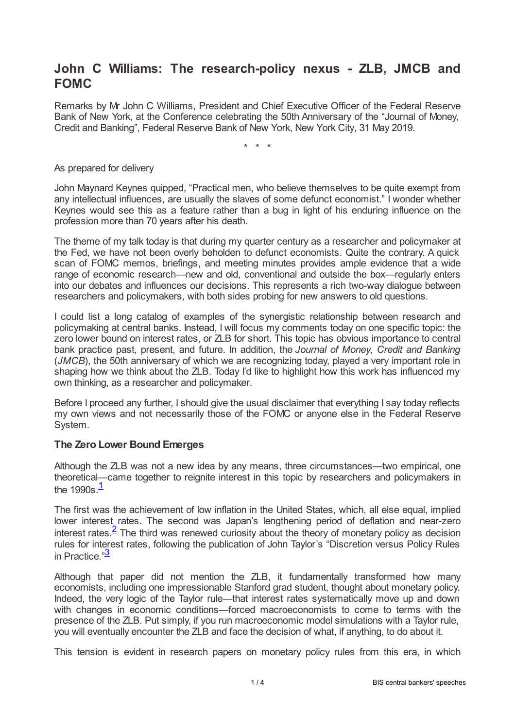# **John C Williams: The research-policy nexus - ZLB, JMCB and FOMC**

Remarks by Mr John C Williams, President and Chief Executive Officer of the Federal Reserve Bank of New York, at the Conference celebrating the 50th Anniversary of the "Journal of Money, Credit and Banking", Federal Reserve Bank of New York, New York City, 31 May 2019.

\* \* \*

As prepared for delivery

John Maynard Keynes quipped, "Practical men, who believe themselves to be quite exempt from any intellectual influences, are usually the slaves of some defunct economist." I wonder whether Keynes would see this as a feature rather than a bug in light of his enduring influence on the profession more than 70 years after his death.

The theme of my talk today is that during my quarter century as a researcher and policymaker at the Fed, we have not been overly beholden to defunct economists. Quite the contrary. A quick scan of FOMC memos, briefings, and meeting minutes provides ample evidence that a wide range of economic research—new and old, conventional and outside the box—regularly enters into our debates and influences our decisions. This represents a rich two-way dialogue between researchers and policymakers, with both sides probing for new answers to old questions.

I could list a long catalog of examples of the synergistic relationship between research and policymaking at central banks. Instead, I will focus my comments today on one specific topic: the zero lower bound on interest rates, or ZLB for short. This topic has obvious importance to central bank practice past, present, and future. In addition, the *Journal of Money, Credit and Banking* (*JMCB*), the 50th anniversary of which we are recognizing today, played a very important role in shaping how we think about the ZLB. Today I'd like to highlight how this work has influenced my own thinking, as a researcher and policymaker.

Before I proceed any further, I should give the usual disclaimer that everything I say today reflects my own views and not necessarily those of the FOMC or anyone else in the Federal Reserve System.

### **The Zero Lower Bound Emerges**

Although the ZLB was not a new idea by any means, three circumstances—two empirical, one theoretical—came together to reignite interest in this topic by researchers and policymakers in the [1](#page-2-0)990s.<sup>1</sup>

<span id="page-0-1"></span><span id="page-0-0"></span>The first was the achievement of low inflation in the United States, which, all else equal, implied lower interest rates. The second was Japan's lengthening period of deflation and near-zero interest rates. $\frac{2}{5}$  $\frac{2}{5}$  $\frac{2}{5}$  The third was renewed curiosity about the theory of monetary policy as decision rules for interest rates, following the publication of John Taylor's "Discretion versus Policy Rules in Practice."<sup>[3](#page-2-2)</sup>

<span id="page-0-2"></span>Although that paper did not mention the ZLB, it fundamentally transformed how many economists, including one impressionable Stanford grad student, thought about monetary policy. Indeed, the very logic of the Taylor rule—that interest rates systematically move up and down with changes in economic conditions—forced macroeconomists to come to terms with the presence of the ZLB. Put simply, if you run macroeconomic model simulations with a Taylor rule, you will eventually encounter the ZLB and face the decision of what, if anything, to do about it.

This tension is evident in research papers on monetary policy rules from this era, in which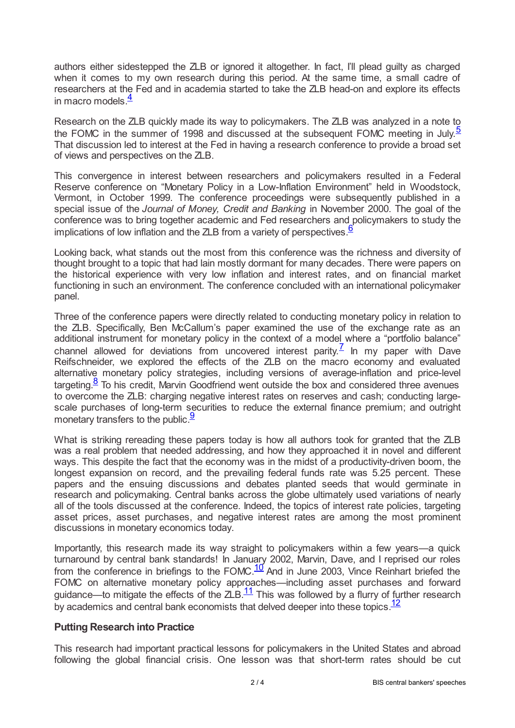authors either sidestepped the ZLB or ignored it altogether. In fact, I'll plead guilty as charged when it comes to my own research during this period. At the same time, a small cadre of researchers at the Fed and in academia started to take the ZLB head-on and explore its effects in macro models. $\frac{4}{3}$  $\frac{4}{3}$  $\frac{4}{3}$ 

<span id="page-1-1"></span><span id="page-1-0"></span>Research on the ZLB quickly made its way to policymakers. The ZLB was analyzed in a note to the FOMC in the summer of 1998 and discussed at the subsequent FOMC meeting in July.<sup>[5](#page-2-4)</sup> That discussion led to interest at the Fed in having a research conference to provide a broad set of views and perspectives on the ZLB.

This convergence in interest between researchers and policymakers resulted in a Federal Reserve conference on "Monetary Policy in a Low-Inflation Environment" held in Woodstock, Vermont, in October 1999. The conference proceedings were subsequently published in a special issue of the *Journal of Money, Credit and Banking* in November 2000. The goal of the conference was to bring together academic and Fed researchers and policymakers to study the implications of low inflation and the ZLB from a variety of perspectives.  $6$ 

<span id="page-1-2"></span>Looking back, what stands out the most from this conference was the richness and diversity of thought brought to a topic that had lain mostly dormant for many decades. There were papers on the historical experience with very low inflation and interest rates, and on financial market functioning in such an environment. The conference concluded with an international policymaker panel.

<span id="page-1-3"></span>Three of the conference papers were directly related to conducting monetary policy in relation to the ZLB. Specifically, Ben McCallum's paper examined the use of the exchange rate as an additional instrument for monetary policy in the context of a model where a "portfolio balance" channel allowed for deviations from uncovered interest parity.<sup> $7$ </sup> In my paper with Dave Reifschneider, we explored the effects of the ZLB on the macro economy and evaluated alternative monetary policy strategies, including versions of average-inflation and price-level targeting. $8$  To his credit, Marvin Goodfriend went outside the box and considered three avenues to overcome the ZLB: charging negative interest rates on reserves and cash; conducting largescale purchases of long-term securities to reduce the external finance premium; and outright monetary transfers to the public.<sup>[9](#page-3-3)</sup>

<span id="page-1-5"></span><span id="page-1-4"></span>What is striking rereading these papers today is how all authors took for granted that the ZLB was a real problem that needed addressing, and how they approached it in novel and different ways. This despite the fact that the economy was in the midst of a productivity-driven boom, the longest expansion on record, and the prevailing federal funds rate was 5.25 percent. These papers and the ensuing discussions and debates planted seeds that would germinate in research and policymaking. Central banks across the globe ultimately used variations of nearly all of the tools discussed at the conference. Indeed, the topics of interest rate policies, targeting asset prices, asset purchases, and negative interest rates are among the most prominent discussions in monetary economics today.

<span id="page-1-6"></span>Importantly, this research made its way straight to policymakers within a few years—a quick turnaround by central bank standards! In January 2002, Marvin, Dave, and I reprised our roles from the conference in briefings to the FOMC. $\frac{10}{10}$  $\frac{10}{10}$  $\frac{10}{10}$  And in June 2003, Vince Reinhart briefed the FOMC on alternative monetary policy approaches—including asset purchases and forward guidance—to mitigate the effects of the  $ZLB$ .<sup>[11](#page-3-5)</sup> This was followed by a flurry of further research by academics and central bank economists that delved deeper into these topics. $\frac{12}{ }$  $\frac{12}{ }$  $\frac{12}{ }$ 

# <span id="page-1-8"></span><span id="page-1-7"></span>**Putting Research into Practice**

This research had important practical lessons for policymakers in the United States and abroad following the global financial crisis. One lesson was that short-term rates should be cut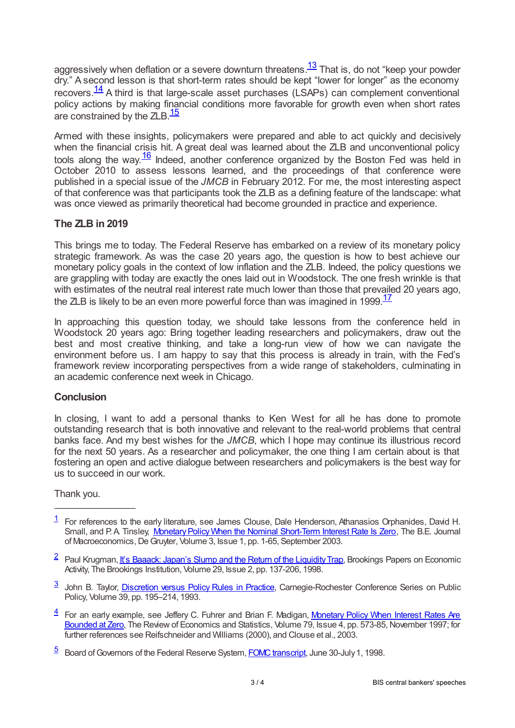<span id="page-2-6"></span><span id="page-2-5"></span>aggressively when deflation or a severe downturn threatens.<sup>[13](#page-3-7)</sup> That is, do not "keep your powder dry." A second lesson is that short-term rates should be kept "lower for longer" as the economy recovers. $\frac{14}{14}$  $\frac{14}{14}$  $\frac{14}{14}$  A third is that large-scale asset purchases (LSAPs) can complement conventional policy actions by making financial conditions more favorable for growth even when short rates are constrained by the ZLB.<sup>[15](#page-3-9)</sup>

<span id="page-2-8"></span><span id="page-2-7"></span>Armed with these insights, policymakers were prepared and able to act quickly and decisively when the financial crisis hit. A great deal was learned about the ZLB and unconventional policy tools along the way. $\frac{16}{10}$  $\frac{16}{10}$  $\frac{16}{10}$  Indeed, another conference organized by the Boston Fed was held in October 2010 to assess lessons learned, and the proceedings of that conference were published in a special issue of the *JMCB* in February 2012. For me, the most interesting aspect of that conference was that participants took the ZLB as a defining feature of the landscape: what was once viewed as primarily theoretical had become grounded in practice and experience.

# **The ZLB in 2019**

This brings me to today. The Federal Reserve has embarked on a review of its monetary policy strategic framework. As was the case 20 years ago, the question is how to best achieve our monetary policy goals in the context of low inflation and the ZLB. Indeed, the policy questions we are grappling with today are exactly the ones laid out in Woodstock. The one fresh wrinkle is that with estimates of the neutral real interest rate much lower than those that prevailed 20 years ago, the ZLB is likely to be an even more powerful force than was imagined in 1999.<sup>[17](#page-3-11)</sup>

<span id="page-2-9"></span>In approaching this question today, we should take lessons from the conference held in Woodstock 20 years ago: Bring together leading researchers and policymakers, draw out the best and most creative thinking, and take a long-run view of how we can navigate the environment before us. I am happy to say that this process is already in train, with the Fed's framework review incorporating perspectives from a wide range of stakeholders, culminating in an academic conference next week in Chicago.

# **Conclusion**

In closing, I want to add a personal thanks to Ken West for all he has done to promote outstanding research that is both innovative and relevant to the real-world problems that central banks face. And my best wishes for the *JMCB*, which I hope may continue its illustrious record for the next 50 years. As a researcher and policymaker, the one thing I am certain about is that fostering an open and active dialogue between researchers and policymakers is the best way for us to succeed in our work.

### Thank you.

- <span id="page-2-2"></span><sup>3</sup> John B. Taylor, [Discretion](web.stanford.edu/~johntayl/Onlinepaperscombinedbyyear/1993/Discretion_versus_Policy_Rules_in_Practice.pdf) versus Policy Rules in Practice, Carnegie-Rochester Conference Series on Public Policy, Volume 39, pp. 195–214, 1993.
- <span id="page-2-3"></span>[4](#page-1-0) For an early example, see Jeffery C. Fuhrer and Brian F. Madigan, Monetary Policy When Interest Rates Are Bounded at Zero, The Review of [Economics](www.mitpressjournals.org/doi/abs/10.1162/003465397557150) and Statistics, Volume 79, Issue 4, pp. 573-85, November 1997; for further references see Reifschneider and Williams (2000), and Clouse et al., 2003.
- <span id="page-2-4"></span>[5](#page-1-1) Board of Governors of the Federal Reserve System, **FOMC transcript**, June 30-July 1, 1998.

<span id="page-2-0"></span> $\frac{1}{1}$  $\frac{1}{1}$  $\frac{1}{1}$  For references to the early literature, see James Clouse, Dale Henderson, Athanasios Orphanides, David H. Small, and P.A. Tinsley, Monetary Policy When the Nominal Short-Term Interest Rate Is Zero, The B.E. Journal of Macroeconomics, De Gruyter, Volume 3, Issue 1, pp. 1-65, September 2003.

<span id="page-2-1"></span> $^2$  $^2$  Paul Krugman, <u>It's Baaack: Japan's Slump and the Return of the Liquidity Trap,</u> Brookings Papers on Economic Activity, The Brookings Institution, Volume 29, Issue 2, pp. 137-206, 1998.